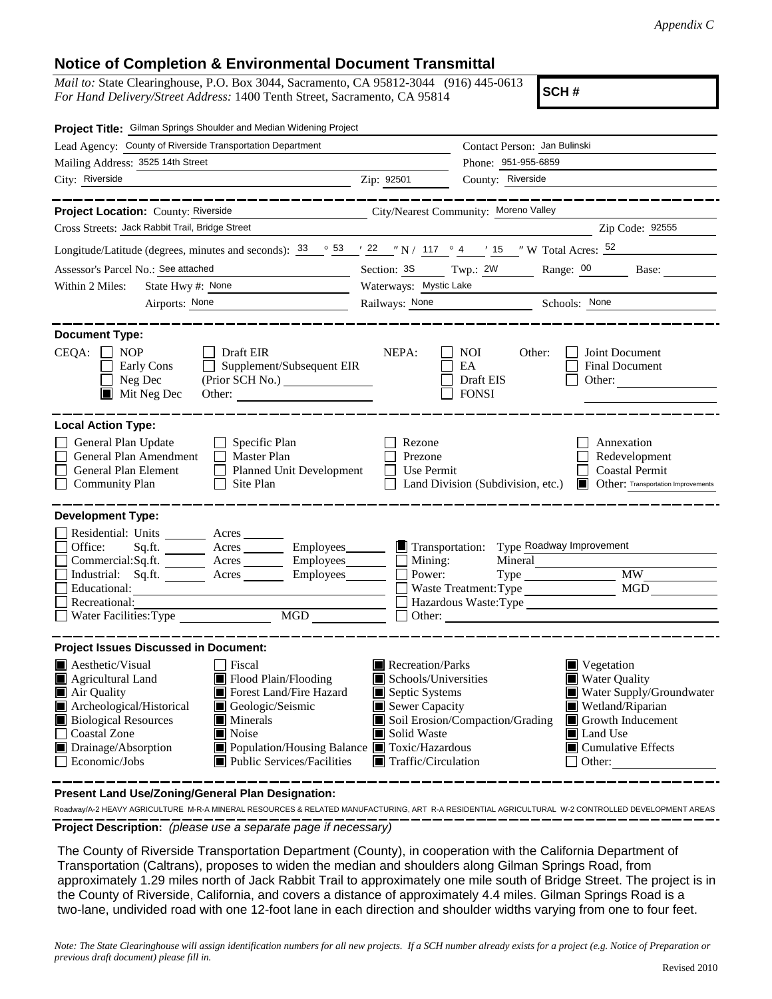## **Notice of Completion & Environmental Document Transmittal**

*Mail to:* State Clearinghouse, P.O. Box 3044, Sacramento, CA 95812-3044 (916) 445-0613 *For Hand Delivery/Street Address:* 1400 Tenth Street, Sacramento, CA 95814

**SCH #**

| Project Title: Gilman Springs Shoulder and Median Widening Project                                                                                                                                                                                                                                                                                                                             |                                                                                                                                   |                                                                                                                                                                                                                             |  |
|------------------------------------------------------------------------------------------------------------------------------------------------------------------------------------------------------------------------------------------------------------------------------------------------------------------------------------------------------------------------------------------------|-----------------------------------------------------------------------------------------------------------------------------------|-----------------------------------------------------------------------------------------------------------------------------------------------------------------------------------------------------------------------------|--|
| Lead Agency: County of Riverside Transportation Department                                                                                                                                                                                                                                                                                                                                     |                                                                                                                                   | Contact Person: Jan Bulinski<br>Phone: 951-955-6859<br>County: Riverside                                                                                                                                                    |  |
| Mailing Address: 3525 14th Street                                                                                                                                                                                                                                                                                                                                                              |                                                                                                                                   |                                                                                                                                                                                                                             |  |
| City: Riverside<br><b>2</b> ip: 92501                                                                                                                                                                                                                                                                                                                                                          |                                                                                                                                   |                                                                                                                                                                                                                             |  |
| -------<br>Project Location: County: Riverside<br>Cross Streets: Jack Rabbit Trail, Bridge Street                                                                                                                                                                                                                                                                                              |                                                                                                                                   | ----------<br>City/Nearest Community: Moreno Valley<br>Zip Code: 92555                                                                                                                                                      |  |
|                                                                                                                                                                                                                                                                                                                                                                                                |                                                                                                                                   |                                                                                                                                                                                                                             |  |
| Longitude/Latitude (degrees, minutes and seconds): $\frac{33}{53}$ $\frac{53}{7}$ $\frac{122}{7}$ N / 117 $\degree$ 4 $\degree$ 15 $\degree$ W Total Acres: $\frac{52}{7}$                                                                                                                                                                                                                     |                                                                                                                                   |                                                                                                                                                                                                                             |  |
| Assessor's Parcel No.: See attached<br>the control of the control of the control                                                                                                                                                                                                                                                                                                               |                                                                                                                                   | Section: 3S Twp.: 2W Range: 00 Base:                                                                                                                                                                                        |  |
| State Hwy #: None<br>Within 2 Miles:                                                                                                                                                                                                                                                                                                                                                           | Waterways: Mystic Lake                                                                                                            |                                                                                                                                                                                                                             |  |
| Airports: None<br>the contract of the contract of the contract of                                                                                                                                                                                                                                                                                                                              |                                                                                                                                   | Railways: None Schools: None                                                                                                                                                                                                |  |
| <b>Document Type:</b><br>$CEQA: \Box NP$<br>Draft EIR<br>Supplement/Subsequent EIR<br>Early Cons<br>$\Box$ Neg Dec<br>(Prior SCH No.)<br>Mit Neg Dec<br>Other:                                                                                                                                                                                                                                 | NEPA:                                                                                                                             | NOI<br>Joint Document<br>Other:<br>EA<br>Final Document<br>Draft EIS<br>Other:<br><b>FONSI</b>                                                                                                                              |  |
| <b>Local Action Type:</b><br>General Plan Update<br>Specific Plan<br>General Plan Amendment<br>$\Box$ Master Plan<br>General Plan Element<br>Planned Unit Development<br>Site Plan<br><b>Community Plan</b><br>$\perp$                                                                                                                                                                         | Rezone<br>Prezone<br>Use Permit                                                                                                   | Annexation<br>Redevelopment<br><b>Coastal Permit</b><br>Land Division (Subdivision, etc.)<br><b>I</b> Other: Transportation Improvements                                                                                    |  |
| <b>Development Type:</b><br>Residential: Units _________ Acres _______<br>Office:<br>Sq.fit.<br>Commercial:Sq.ft. ________ Acres _________ Employees________<br>Industrial: Sq.ft. ________ Acres _______<br>Educational:<br>Recreational:<br>MGD<br>Water Facilities: Type                                                                                                                    | $\blacksquare$ Mining:<br>Power:                                                                                                  | Transportation: Type Roadway Improvement<br>Mineral<br><b>MW</b><br>MGD<br>Hazardous Waste:Type<br>Other:                                                                                                                   |  |
| <b>Project Issues Discussed in Document:</b>                                                                                                                                                                                                                                                                                                                                                   |                                                                                                                                   |                                                                                                                                                                                                                             |  |
| $\blacksquare$ Aesthetic/Visual<br>  Fiscal<br>Flood Plain/Flooding<br>Agricultural Land<br>Air Quality<br>Forest Land/Fire Hazard<br>Archeological/Historical<br>Geologic/Seismic<br><b>Biological Resources</b><br><b>Minerals</b><br>Coastal Zone<br><b>■</b> Noise<br>Drainage/Absorption<br>Population/Housing Balance ■ Toxic/Hazardous<br>Economic/Jobs<br>■ Public Services/Facilities | Recreation/Parks<br>Schools/Universities<br>Septic Systems<br>Sewer Capacity<br>Solid Waste<br>$\blacksquare$ Traffic/Circulation | Vegetation<br><b>Water Quality</b><br>Water Supply/Groundwater<br>Wetland/Riparian<br>Soil Erosion/Compaction/Grading<br>Growth Inducement<br>$\blacksquare$ Land Use<br>$\blacksquare$ Cumulative Effects<br>$\Box$ Other: |  |

**Present Land Use/Zoning/General Plan Designation:**

**Project Description:** *(please use a separate page if necessary)* Roadway/A-2 HEAVY AGRICULTURE M-R-A MINERAL RESOURCES & RELATED MANUFACTURING, ART R-A RESIDENTIAL AGRICULTURAL W-2 CONTROLLED DEVELOPMENT AREAS

 The County of Riverside Transportation Department (County), in cooperation with the California Department of Transportation (Caltrans), proposes to widen the median and shoulders along Gilman Springs Road, from approximately 1.29 miles north of Jack Rabbit Trail to approximately one mile south of Bridge Street. The project is in the County of Riverside, California, and covers a distance of approximately 4.4 miles. Gilman Springs Road is a two-lane, undivided road with one 12-foot lane in each direction and shoulder widths varying from one to four feet.

*Note: The State Clearinghouse will assign identification numbers for all new projects. If a SCH number already exists for a project (e.g. Notice of Preparation or previous draft document) please fill in.*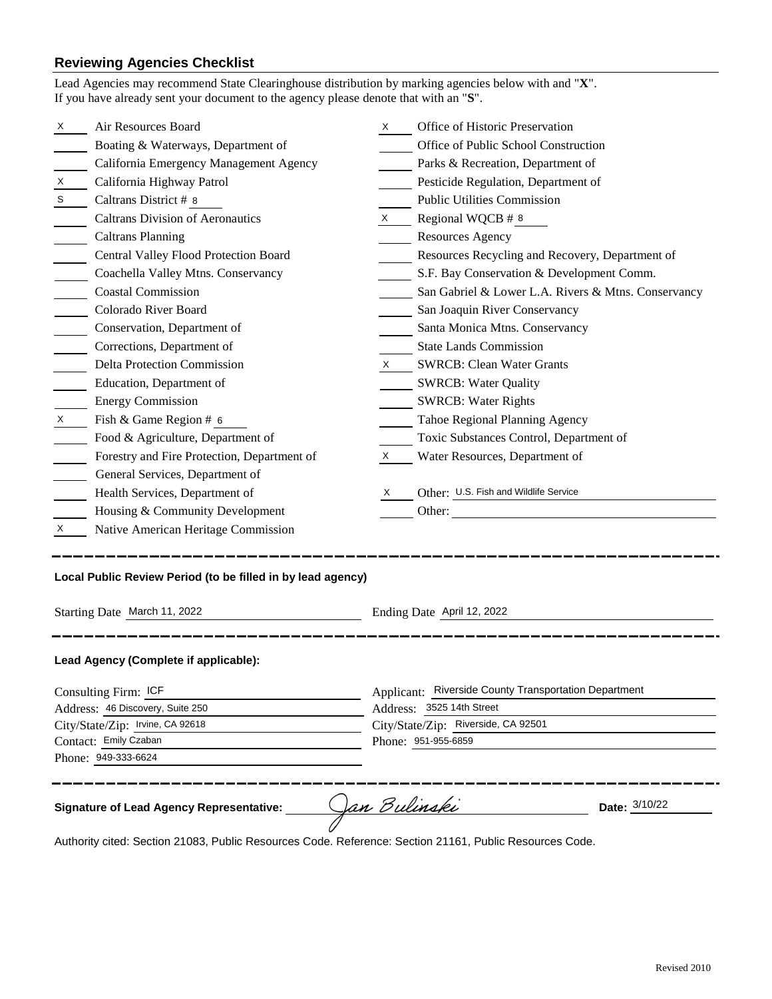## **Reviewing Agencies Checklist**

|                                  | Air Resources Board                                                                         | X.                  | Office of Historic Preservation                            |  |  |
|----------------------------------|---------------------------------------------------------------------------------------------|---------------------|------------------------------------------------------------|--|--|
|                                  | Boating & Waterways, Department of                                                          |                     | Office of Public School Construction                       |  |  |
|                                  | California Emergency Management Agency                                                      |                     | Parks & Recreation, Department of                          |  |  |
|                                  | California Highway Patrol                                                                   |                     | Pesticide Regulation, Department of                        |  |  |
|                                  | Caltrans District # 8                                                                       |                     | <b>Public Utilities Commission</b>                         |  |  |
|                                  | <b>Caltrans Division of Aeronautics</b>                                                     | X.                  | Regional WQCB # 8                                          |  |  |
|                                  | <b>Caltrans Planning</b>                                                                    |                     | <b>Resources Agency</b>                                    |  |  |
|                                  | Central Valley Flood Protection Board                                                       |                     | Resources Recycling and Recovery, Department of            |  |  |
|                                  | Coachella Valley Mtns. Conservancy                                                          |                     | S.F. Bay Conservation & Development Comm.                  |  |  |
|                                  | <b>Coastal Commission</b>                                                                   |                     | San Gabriel & Lower L.A. Rivers & Mtns. Conservancy        |  |  |
|                                  | Colorado River Board                                                                        |                     | San Joaquin River Conservancy                              |  |  |
|                                  | Conservation, Department of                                                                 |                     | Santa Monica Mtns. Conservancy                             |  |  |
|                                  | Corrections, Department of                                                                  |                     | <b>State Lands Commission</b>                              |  |  |
|                                  | <b>Delta Protection Commission</b>                                                          | X.                  | <b>SWRCB: Clean Water Grants</b>                           |  |  |
|                                  | Education, Department of                                                                    |                     | <b>SWRCB: Water Quality</b>                                |  |  |
|                                  | <b>Energy Commission</b>                                                                    |                     | <b>SWRCB: Water Rights</b>                                 |  |  |
|                                  | Fish & Game Region # 6                                                                      |                     | Tahoe Regional Planning Agency                             |  |  |
|                                  | Food & Agriculture, Department of                                                           |                     | Toxic Substances Control, Department of                    |  |  |
|                                  | Forestry and Fire Protection, Department of                                                 | X                   | Water Resources, Department of                             |  |  |
|                                  | General Services, Department of                                                             |                     |                                                            |  |  |
|                                  | Health Services, Department of                                                              | X                   | Other: U.S. Fish and Wildlife Service                      |  |  |
|                                  | Housing & Community Development                                                             |                     | Other:                                                     |  |  |
| X.                               | Native American Heritage Commission                                                         |                     |                                                            |  |  |
|                                  | Local Public Review Period (to be filled in by lead agency)<br>Starting Date March 11, 2022 |                     | Ending Date April 12, 2022                                 |  |  |
|                                  | Lead Agency (Complete if applicable):                                                       |                     |                                                            |  |  |
| Consulting Firm: ICF             |                                                                                             |                     | Applicant: Riverside County Transportation Department      |  |  |
| Address: 46 Discovery, Suite 250 |                                                                                             |                     | Address: 3525 14th Street                                  |  |  |
|                                  | City/State/Zip: Irvine, CA 92618<br>Contact: Emily Czaban                                   |                     | City/State/Zip: Riverside, CA 92501<br>Phone: 951-955-6859 |  |  |
|                                  |                                                                                             |                     |                                                            |  |  |
|                                  |                                                                                             |                     |                                                            |  |  |
|                                  | Phone: 949-333-6624                                                                         |                     |                                                            |  |  |
|                                  |                                                                                             | <u>Jan Bulinski</u> | Date: 3/10/22                                              |  |  |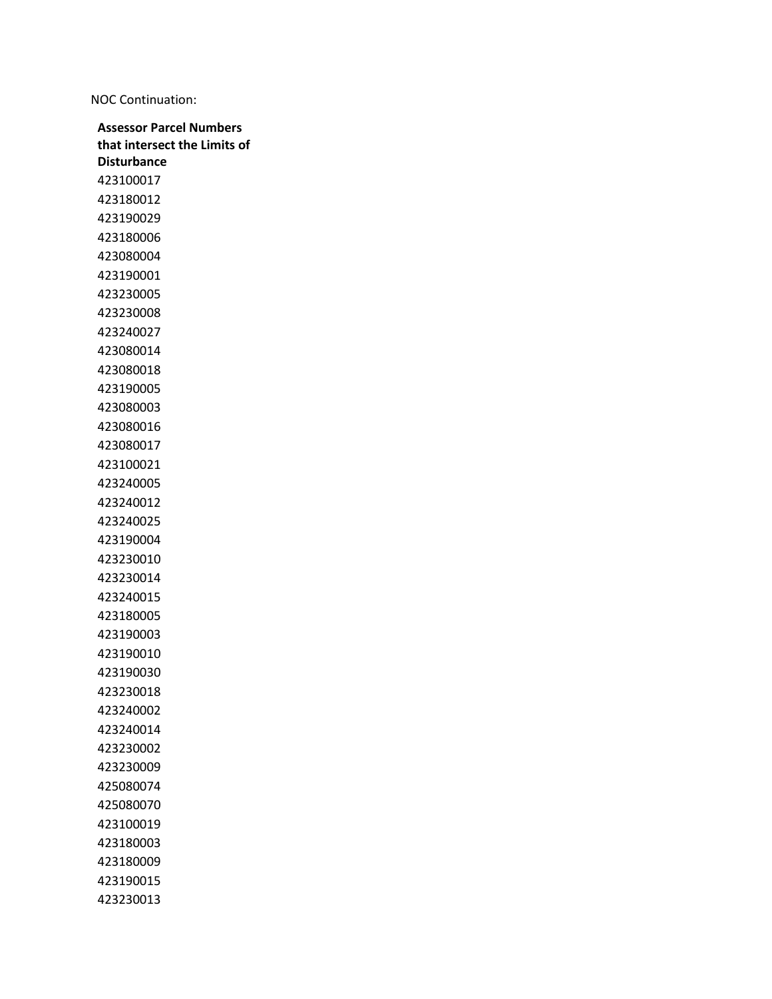NOC Continuation: